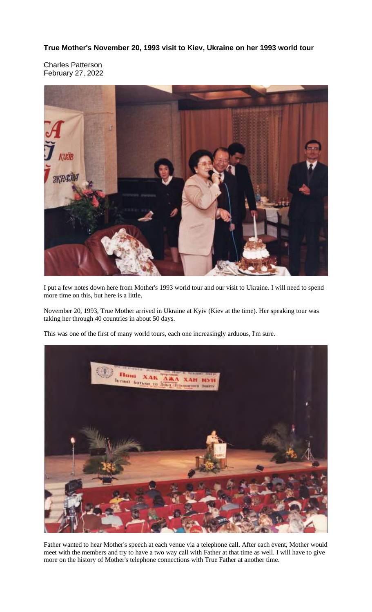**True Mother's November 20, 1993 visit to Kiev, Ukraine on her 1993 world tour**

Charles Patterson February 27, 2022



I put a few notes down here from Mother's 1993 world tour and our visit to Ukraine. I will need to spend more time on this, but here is a little.

November 20, 1993, True Mother arrived in Ukraine at Kyiv (Kiev at the time). Her speaking tour was taking her through 40 countries in about 50 days.

This was one of the first of many world tours, each one increasingly arduous, I'm sure.



Father wanted to hear Mother's speech at each venue via a telephone call. After each event, Mother would meet with the members and try to have a two way call with Father at that time as well. I will have to give more on the history of Mother's telephone connections with True Father at another time.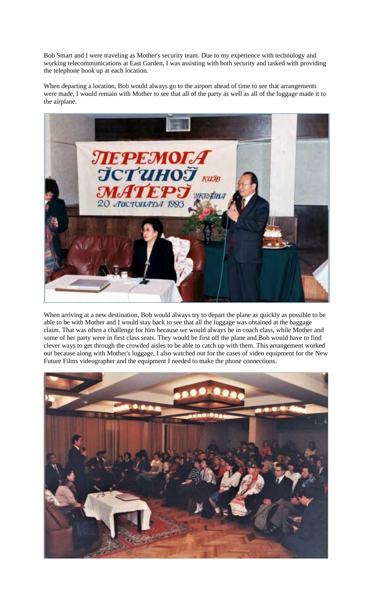Bob Smart and I were traveling as Mother's security team. Due to my experience with technology and working telecommunications at East Garden, I was assisting with both security and tasked with providing the telephone hook up at each location.

When departing a location, Bob would always go to the airport ahead of time to see that arrangements were made, I would remain with Mother to see that all of the party as well as all of the luggage made it to the airplane.



When arriving at a new destination, Bob would always try to depart the plane as quickly as possible to be able to be with Mother and I would stay back to see that all the luggage was obtained at the baggage claim. That was often a challenge for him because we would always be in coach class, while Mother and some of her party were in first class seats. They would be first off the plane and Bob would have to find clever ways to get through the crowded aisles to be able to catch up with them. This arrangement worked out because along with Mother's luggage, I also watched out for the cases of video equipment for the New Future Films videographer and the equipment I needed to make the phone connections.

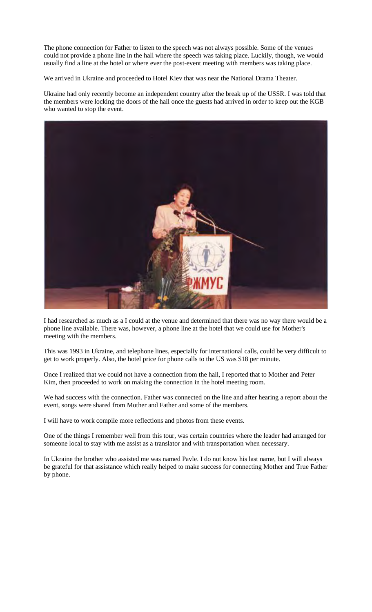The phone connection for Father to listen to the speech was not always possible. Some of the venues could not provide a phone line in the hall where the speech was taking place. Luckily, though, we would usually find a line at the hotel or where ever the post-event meeting with members was taking place.

We arrived in Ukraine and proceeded to Hotel Kiev that was near the National Drama Theater.

Ukraine had only recently become an independent country after the break up of the USSR. I was told that the members were locking the doors of the hall once the guests had arrived in order to keep out the KGB who wanted to stop the event.



I had researched as much as a I could at the venue and determined that there was no way there would be a phone line available. There was, however, a phone line at the hotel that we could use for Mother's meeting with the members.

This was 1993 in Ukraine, and telephone lines, especially for international calls, could be very difficult to get to work properly. Also, the hotel price for phone calls to the US was \$18 per minute.

Once I realized that we could not have a connection from the hall, I reported that to Mother and Peter Kim, then proceeded to work on making the connection in the hotel meeting room.

We had success with the connection. Father was connected on the line and after hearing a report about the event, songs were shared from Mother and Father and some of the members.

I will have to work compile more reflections and photos from these events.

One of the things I remember well from this tour, was certain countries where the leader had arranged for someone local to stay with me assist as a translator and with transportation when necessary.

In Ukraine the brother who assisted me was named Pavle. I do not know his last name, but I will always be grateful for that assistance which really helped to make success for connecting Mother and True Father by phone.